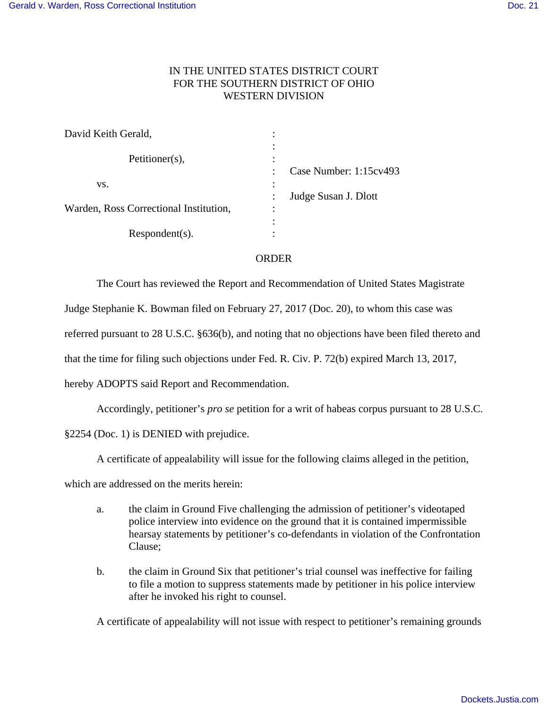## IN THE UNITED STATES DISTRICT COURT FOR THE SOUTHERN DISTRICT OF OHIO WESTERN DIVISION

| David Keith Gerald,                    |                                     |
|----------------------------------------|-------------------------------------|
| Petitioner(s),                         | $\bullet$                           |
| VS.                                    | Case Number: 1:15cv493<br>$\bullet$ |
|                                        | Judge Susan J. Dlott                |
| Warden, Ross Correctional Institution, | ٠                                   |
|                                        |                                     |
| $Respondent(s)$ .                      |                                     |

## ORDER

The Court has reviewed the Report and Recommendation of United States Magistrate

Judge Stephanie K. Bowman filed on February 27, 2017 (Doc. 20), to whom this case was

referred pursuant to 28 U.S.C. §636(b), and noting that no objections have been filed thereto and

that the time for filing such objections under Fed. R. Civ. P. 72(b) expired March 13, 2017,

hereby ADOPTS said Report and Recommendation.

Accordingly, petitioner's *pro se* petition for a writ of habeas corpus pursuant to 28 U.S.C.

§2254 (Doc. 1) is DENIED with prejudice.

A certificate of appealability will issue for the following claims alleged in the petition,

which are addressed on the merits herein:

- a. the claim in Ground Five challenging the admission of petitioner's videotaped police interview into evidence on the ground that it is contained impermissible hearsay statements by petitioner's co-defendants in violation of the Confrontation Clause;
- b. the claim in Ground Six that petitioner's trial counsel was ineffective for failing to file a motion to suppress statements made by petitioner in his police interview after he invoked his right to counsel.

A certificate of appealability will not issue with respect to petitioner's remaining grounds